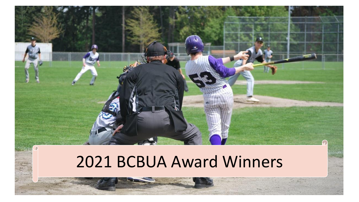

# 2021 BCBUA Award Winners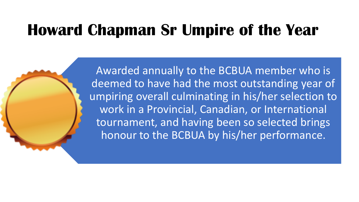# **Howard Chapman Sr Umpire of the Year**

Awarded annually to the BCBUA member who is deemed to have had the most outstanding year of umpiring overall culminating in his/her selection to work in a Provincial, Canadian, or International tournament, and having been so selected brings honour to the BCBUA by his/her performance.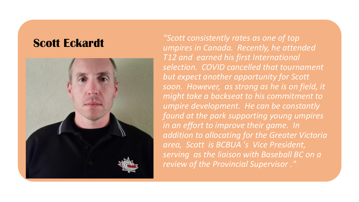

**Scott Eckardt** *"Scott consistently rates as one of top umpires in Canada. Recently, he attended T12 and earned his first International selection. COVID cancelled that tournament but expect another opportunity for Scott soon. However, as strong as he is on field, it might take a backseat to his commitment to umpire development. He can be constantly found at the park supporting young umpires in an effort to improve their game. In addition to allocating for the Greater Victoria area, Scott is BCBUA 's Vice President, serving as the liaison with Baseball BC on a review of the Provincial Supervisor ."*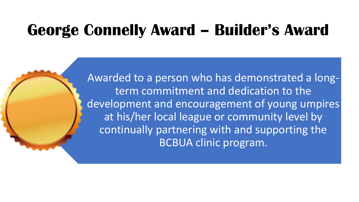## **George Connelly Award – Builder's Award**

Awarded to a person who has demonstrated a longterm commitment and dedication to the development and encouragement of young umpires at his/her local league or community level by continually partnering with and supporting the BCBUA clinic program.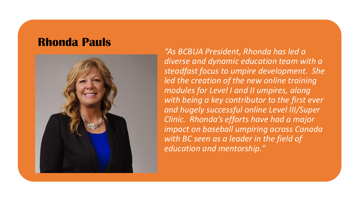#### **Rhonda Pauls**



*"As BCBUA President, Rhonda has led a diverse and dynamic education team with a steadfast focus to umpire development. She led the creation of the new online training modules for Level I and II umpires, along with being a key contributor to the first ever and hugely successful online Level III/Super Clinic. Rhonda's efforts have had a major impact on baseball umpiring across Canada with BC seen as a leader in the field of education and mentorship."*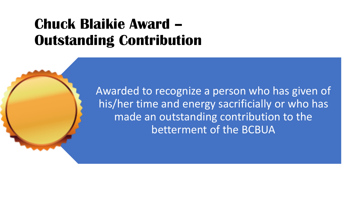### **Chuck Blaikie Award – Outstanding Contribution**

Awarded to recognize a person who has given of his/her time and energy sacrificially or who has made an outstanding contribution to the betterment of the BCBUA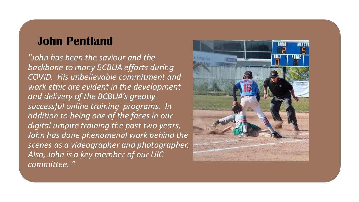### **John Pentland**

*"John has been the saviour and the backbone to many BCBUA efforts during COVID. His unbelievable commitment and work ethic are evident in the development and delivery of the BCBUA's greatly successful online training programs. In addition to being one of the faces in our digital umpire training the past two years, John has done phenomenal work behind the scenes as a videographer and photographer. Also, John is a key member of our UIC committee. "*

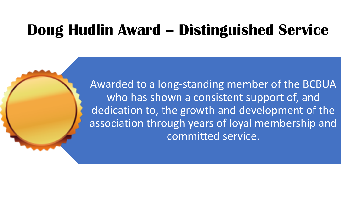## **Doug Hudlin Award – Distinguished Service**

Awarded to a long-standing member of the BCBUA who has shown a consistent support of, and dedication to, the growth and development of the association through years of loyal membership and committed service.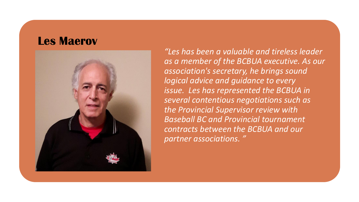#### **Les Maerov**



*"Les has been a valuable and tireless leader as a member of the BCBUA executive. As our association's secretary, he brings sound logical advice and guidance to every issue. Les has represented the BCBUA in several contentious negotiations such as the Provincial Supervisor review with Baseball BC and Provincial tournament contracts between the BCBUA and our partner associations. "*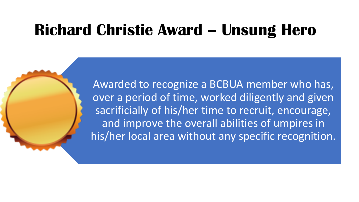## **Richard Christie Award – Unsung Hero**

Awarded to recognize a BCBUA member who has, over a period of time, worked diligently and given sacrificially of his/her time to recruit, encourage, and improve the overall abilities of umpires in his/her local area without any specific recognition.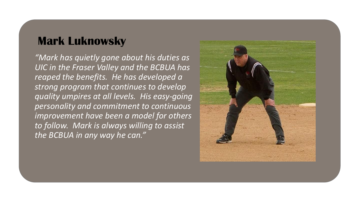#### **Mark Luknowsky**

*"Mark has quietly gone about his duties as UIC in the Fraser Valley and the BCBUA has reaped the benefits. He has developed a strong program that continues to develop quality umpires at all levels. His easy-going personality and commitment to continuous improvement have been a model for others to follow. Mark is always willing to assist the BCBUA in any way he can."*

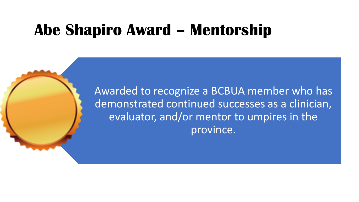### **Abe Shapiro Award – Mentorship**

Awarded to recognize a BCBUA member who has demonstrated continued successes as a clinician, evaluator, and/or mentor to umpires in the province.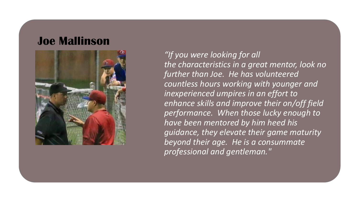#### **Joe Mallinson**



*"If you were looking for all the characteristics in a great mentor, look no further than Joe. He has volunteered countless hours working with younger and inexperienced umpires in an effort to enhance skills and improve their on/off field performance. When those lucky enough to have been mentored by him heed his guidance, they elevate their game maturity beyond their age. He is a consummate professional and gentleman."*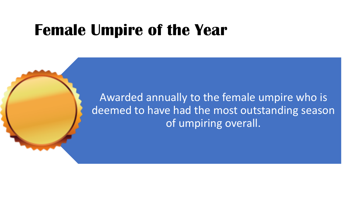### **Female Umpire of the Year**

Awarded annually to the female umpire who is deemed to have had the most outstanding season of umpiring overall.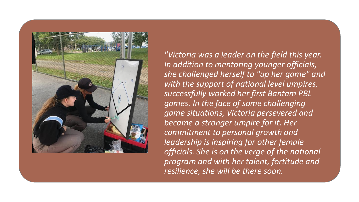

*"Victoria was a leader on the field this year. In addition to mentoring younger officials, she challenged herself to "up her game" and with the support of national level umpires, successfully worked her first Bantam PBL games. In the face of some challenging game situations, Victoria persevered and became a stronger umpire for it. Her commitment to personal growth and leadership is inspiring for other female officials. She is on the verge of the national program and with her talent, fortitude and resilience, she will be there soon.*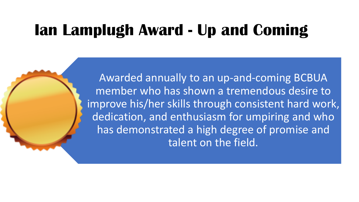# **Ian Lamplugh Award - Up and Coming**

Awarded annually to an up-and-coming BCBUA member who has shown a tremendous desire to improve his/her skills through consistent hard work, dedication, and enthusiasm for umpiring and who has demonstrated a high degree of promise and talent on the field.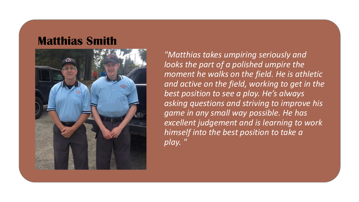#### **Matthias Smith**



*"Matthias takes umpiring seriously and looks the part of a polished umpire the moment he walks on the field. He is athletic and active on the field, working to get in the best position to see a play. He's always asking questions and striving to improve his game in any small way possible. He has excellent judgement and is learning to work himself into the best position to take a play. "*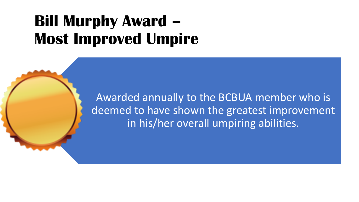# **Bill Murphy Award – Most Improved Umpire**

Awarded annually to the BCBUA member who is deemed to have shown the greatest improvement in his/her overall umpiring abilities.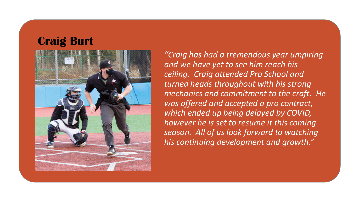#### **Craig Burt**



*"Craig has had a tremendous year umpiring and we have yet to see him reach his ceiling. Craig attended Pro School and turned heads throughout with his strong mechanics and commitment to the craft. He was offered and accepted a pro contract, which ended up being delayed by COVID, however he is set to resume it this coming season. All of us look forward to watching his continuing development and growth."*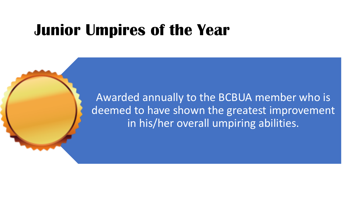### **Junior Umpires of the Year**

Awarded annually to the BCBUA member who is deemed to have shown the greatest improvement in his/her overall umpiring abilities.